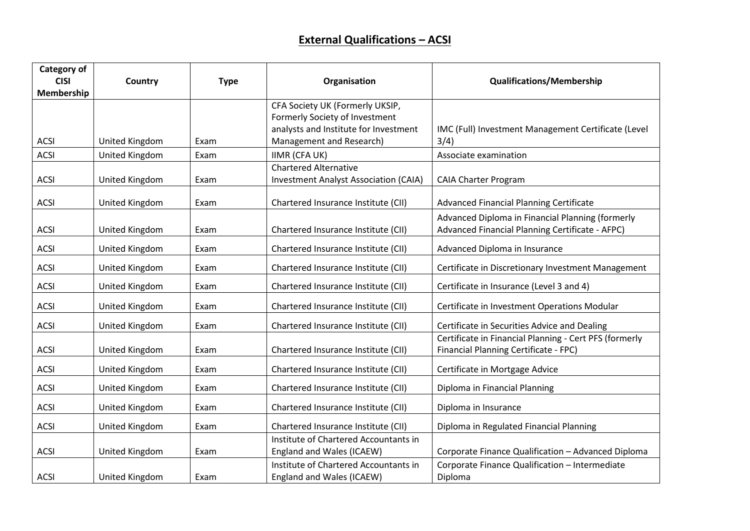## **External Qualifications – ACSI**

| Category of |                       |             |                                              |                                                        |
|-------------|-----------------------|-------------|----------------------------------------------|--------------------------------------------------------|
| <b>CISI</b> | Country               | <b>Type</b> | Organisation                                 | <b>Qualifications/Membership</b>                       |
| Membership  |                       |             |                                              |                                                        |
|             |                       |             | CFA Society UK (Formerly UKSIP,              |                                                        |
|             |                       |             | Formerly Society of Investment               |                                                        |
|             |                       |             | analysts and Institute for Investment        | IMC (Full) Investment Management Certificate (Level    |
| <b>ACSI</b> | United Kingdom        | Exam        | Management and Research)                     | 3/4)                                                   |
| <b>ACSI</b> | United Kingdom        | Exam        | <b>IIMR (CFA UK)</b>                         | Associate examination                                  |
|             |                       |             | <b>Chartered Alternative</b>                 |                                                        |
| <b>ACSI</b> | United Kingdom        | Exam        | <b>Investment Analyst Association (CAIA)</b> | <b>CAIA Charter Program</b>                            |
|             |                       |             |                                              |                                                        |
| <b>ACSI</b> | United Kingdom        | Exam        | Chartered Insurance Institute (CII)          | Advanced Financial Planning Certificate                |
|             |                       |             |                                              | Advanced Diploma in Financial Planning (formerly       |
| <b>ACSI</b> | United Kingdom        | Exam        | Chartered Insurance Institute (CII)          | Advanced Financial Planning Certificate - AFPC)        |
| <b>ACSI</b> | United Kingdom        | Exam        | Chartered Insurance Institute (CII)          | Advanced Diploma in Insurance                          |
| <b>ACSI</b> | United Kingdom        | Exam        | Chartered Insurance Institute (CII)          | Certificate in Discretionary Investment Management     |
| <b>ACSI</b> | United Kingdom        | Exam        | Chartered Insurance Institute (CII)          | Certificate in Insurance (Level 3 and 4)               |
|             |                       |             |                                              |                                                        |
| <b>ACSI</b> | United Kingdom        | Exam        | Chartered Insurance Institute (CII)          | Certificate in Investment Operations Modular           |
| <b>ACSI</b> | United Kingdom        | Exam        | Chartered Insurance Institute (CII)          | Certificate in Securities Advice and Dealing           |
|             |                       |             |                                              | Certificate in Financial Planning - Cert PFS (formerly |
| <b>ACSI</b> | United Kingdom        | Exam        | Chartered Insurance Institute (CII)          | Financial Planning Certificate - FPC)                  |
| <b>ACSI</b> | United Kingdom        | Exam        | Chartered Insurance Institute (CII)          | Certificate in Mortgage Advice                         |
| <b>ACSI</b> | <b>United Kingdom</b> | Exam        | Chartered Insurance Institute (CII)          | Diploma in Financial Planning                          |
| <b>ACSI</b> | United Kingdom        | Exam        | Chartered Insurance Institute (CII)          | Diploma in Insurance                                   |
| <b>ACSI</b> | United Kingdom        | Exam        | Chartered Insurance Institute (CII)          | Diploma in Regulated Financial Planning                |
|             |                       |             | Institute of Chartered Accountants in        |                                                        |
| <b>ACSI</b> | <b>United Kingdom</b> | Exam        | England and Wales (ICAEW)                    | Corporate Finance Qualification - Advanced Diploma     |
|             |                       |             | Institute of Chartered Accountants in        | Corporate Finance Qualification - Intermediate         |
| <b>ACSI</b> | United Kingdom        | Exam        | England and Wales (ICAEW)                    | Diploma                                                |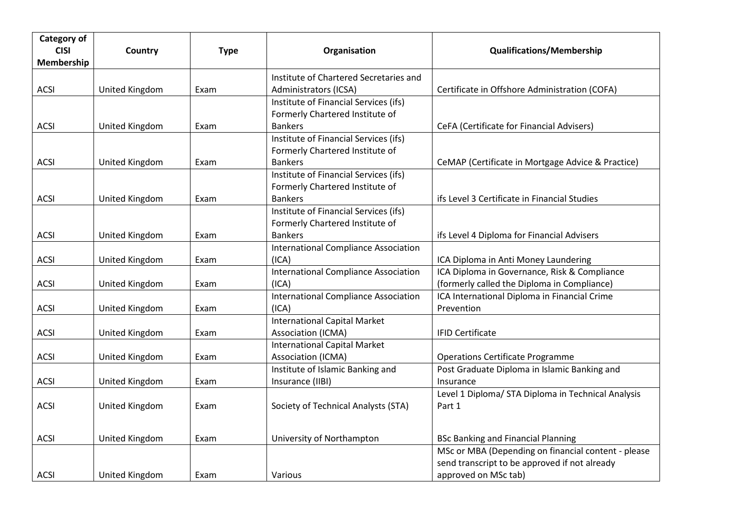| Category of<br><b>CISI</b><br>Membership | Country        | <b>Type</b> | Organisation                                                                               | <b>Qualifications/Membership</b>                                                                                             |
|------------------------------------------|----------------|-------------|--------------------------------------------------------------------------------------------|------------------------------------------------------------------------------------------------------------------------------|
| <b>ACSI</b>                              | United Kingdom | Exam        | Institute of Chartered Secretaries and<br>Administrators (ICSA)                            | Certificate in Offshore Administration (COFA)                                                                                |
| <b>ACSI</b>                              | United Kingdom | Exam        | Institute of Financial Services (ifs)<br>Formerly Chartered Institute of<br><b>Bankers</b> | CeFA (Certificate for Financial Advisers)                                                                                    |
| <b>ACSI</b>                              | United Kingdom | Exam        | Institute of Financial Services (ifs)<br>Formerly Chartered Institute of<br><b>Bankers</b> | CeMAP (Certificate in Mortgage Advice & Practice)                                                                            |
| <b>ACSI</b>                              | United Kingdom | Exam        | Institute of Financial Services (ifs)<br>Formerly Chartered Institute of<br><b>Bankers</b> | ifs Level 3 Certificate in Financial Studies                                                                                 |
| <b>ACSI</b>                              | United Kingdom | Exam        | Institute of Financial Services (ifs)<br>Formerly Chartered Institute of<br><b>Bankers</b> | ifs Level 4 Diploma for Financial Advisers                                                                                   |
| <b>ACSI</b>                              | United Kingdom | Exam        | <b>International Compliance Association</b><br>(ICA)                                       | ICA Diploma in Anti Money Laundering                                                                                         |
| <b>ACSI</b>                              | United Kingdom | Exam        | <b>International Compliance Association</b><br>(ICA)                                       | ICA Diploma in Governance, Risk & Compliance<br>(formerly called the Diploma in Compliance)                                  |
| <b>ACSI</b>                              | United Kingdom | Exam        | <b>International Compliance Association</b><br>(ICA)                                       | ICA International Diploma in Financial Crime<br>Prevention                                                                   |
| <b>ACSI</b>                              | United Kingdom | Exam        | <b>International Capital Market</b><br>Association (ICMA)                                  | <b>IFID Certificate</b>                                                                                                      |
| <b>ACSI</b>                              | United Kingdom | Exam        | <b>International Capital Market</b><br>Association (ICMA)                                  | <b>Operations Certificate Programme</b>                                                                                      |
| <b>ACSI</b>                              | United Kingdom | Exam        | Institute of Islamic Banking and<br>Insurance (IIBI)                                       | Post Graduate Diploma in Islamic Banking and<br>Insurance                                                                    |
| <b>ACSI</b>                              | United Kingdom | Exam        | Society of Technical Analysts (STA)                                                        | Level 1 Diploma/ STA Diploma in Technical Analysis<br>Part 1                                                                 |
| <b>ACSI</b>                              | United Kingdom | Exam        | University of Northampton                                                                  | <b>BSc Banking and Financial Planning</b>                                                                                    |
| <b>ACSI</b>                              | United Kingdom | Exam        | Various                                                                                    | MSc or MBA (Depending on financial content - please<br>send transcript to be approved if not already<br>approved on MSc tab) |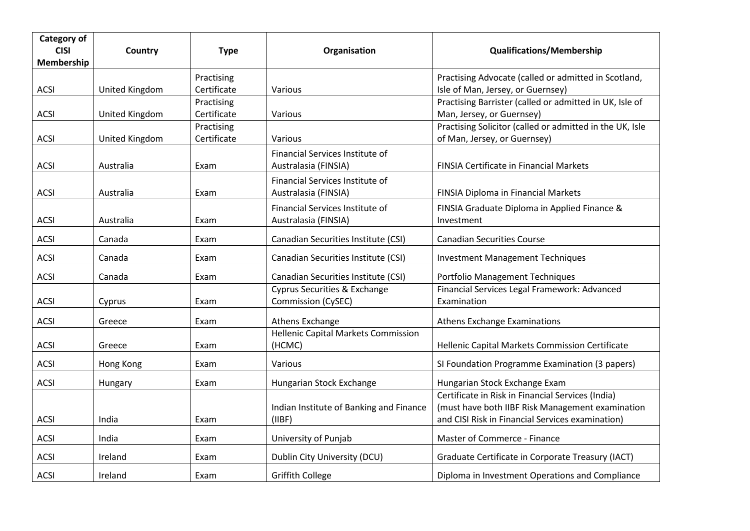| Category of<br><b>CISI</b> | Country        | <b>Type</b>               | Organisation                                              | <b>Qualifications/Membership</b>                                                                                                                          |
|----------------------------|----------------|---------------------------|-----------------------------------------------------------|-----------------------------------------------------------------------------------------------------------------------------------------------------------|
| Membership                 |                |                           |                                                           |                                                                                                                                                           |
| <b>ACSI</b>                | United Kingdom | Practising<br>Certificate | Various                                                   | Practising Advocate (called or admitted in Scotland,<br>Isle of Man, Jersey, or Guernsey)                                                                 |
| <b>ACSI</b>                | United Kingdom | Practising<br>Certificate | Various                                                   | Practising Barrister (called or admitted in UK, Isle of<br>Man, Jersey, or Guernsey)                                                                      |
| <b>ACSI</b>                | United Kingdom | Practising<br>Certificate | Various                                                   | Practising Solicitor (called or admitted in the UK, Isle<br>of Man, Jersey, or Guernsey)                                                                  |
| <b>ACSI</b>                | Australia      | Exam                      | Financial Services Institute of<br>Australasia (FINSIA)   | FINSIA Certificate in Financial Markets                                                                                                                   |
| <b>ACSI</b>                | Australia      | Exam                      | Financial Services Institute of<br>Australasia (FINSIA)   | <b>FINSIA Diploma in Financial Markets</b>                                                                                                                |
| <b>ACSI</b>                | Australia      | Exam                      | Financial Services Institute of<br>Australasia (FINSIA)   | FINSIA Graduate Diploma in Applied Finance &<br>Investment                                                                                                |
| <b>ACSI</b>                | Canada         | Exam                      | Canadian Securities Institute (CSI)                       | <b>Canadian Securities Course</b>                                                                                                                         |
| <b>ACSI</b>                | Canada         | Exam                      | Canadian Securities Institute (CSI)                       | <b>Investment Management Techniques</b>                                                                                                                   |
| <b>ACSI</b>                | Canada         | Exam                      | Canadian Securities Institute (CSI)                       | Portfolio Management Techniques                                                                                                                           |
| <b>ACSI</b>                | Cyprus         | Exam                      | Cyprus Securities & Exchange<br><b>Commission (CySEC)</b> | Financial Services Legal Framework: Advanced<br>Examination                                                                                               |
| ACSI                       | Greece         | Exam                      | Athens Exchange                                           | Athens Exchange Examinations                                                                                                                              |
| <b>ACSI</b>                | Greece         | Exam                      | <b>Hellenic Capital Markets Commission</b><br>(HCMC)      | Hellenic Capital Markets Commission Certificate                                                                                                           |
| <b>ACSI</b>                | Hong Kong      | Exam                      | Various                                                   | SI Foundation Programme Examination (3 papers)                                                                                                            |
| <b>ACSI</b>                | Hungary        | Exam                      | Hungarian Stock Exchange                                  | Hungarian Stock Exchange Exam                                                                                                                             |
| <b>ACSI</b>                | India          | Exam                      | Indian Institute of Banking and Finance<br>(IIBF)         | Certificate in Risk in Financial Services (India)<br>(must have both IIBF Risk Management examination<br>and CISI Risk in Financial Services examination) |
| <b>ACSI</b>                | India          | Exam                      | University of Punjab                                      | Master of Commerce - Finance                                                                                                                              |
| <b>ACSI</b>                | Ireland        | Exam                      | Dublin City University (DCU)                              | Graduate Certificate in Corporate Treasury (IACT)                                                                                                         |
| <b>ACSI</b>                | Ireland        | Exam                      | <b>Griffith College</b>                                   | Diploma in Investment Operations and Compliance                                                                                                           |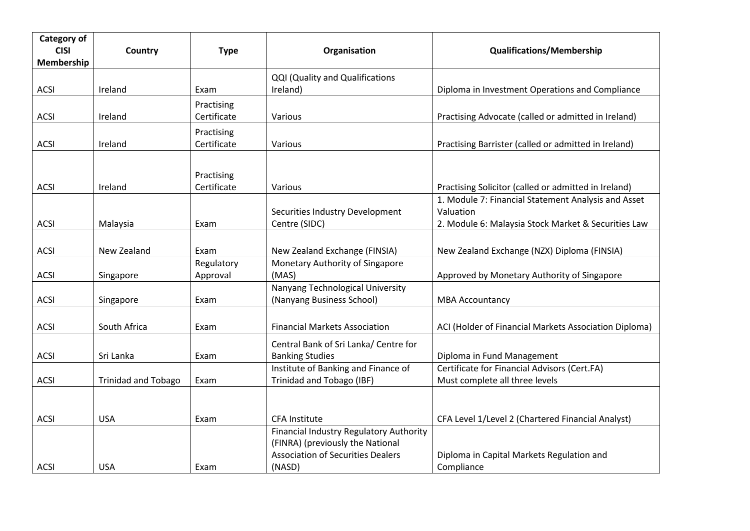| <b>Category of</b><br><b>CISI</b> | Country                    | <b>Type</b> | Organisation                             | <b>Qualifications/Membership</b>                      |
|-----------------------------------|----------------------------|-------------|------------------------------------------|-------------------------------------------------------|
| Membership                        |                            |             |                                          |                                                       |
|                                   |                            |             | <b>QQI (Quality and Qualifications</b>   |                                                       |
| <b>ACSI</b>                       | Ireland                    | Exam        | Ireland)                                 | Diploma in Investment Operations and Compliance       |
|                                   |                            | Practising  |                                          |                                                       |
| <b>ACSI</b>                       | Ireland                    | Certificate | Various                                  | Practising Advocate (called or admitted in Ireland)   |
|                                   |                            | Practising  |                                          |                                                       |
| <b>ACSI</b>                       | Ireland                    | Certificate | Various                                  | Practising Barrister (called or admitted in Ireland)  |
|                                   |                            |             |                                          |                                                       |
|                                   |                            | Practising  |                                          |                                                       |
| <b>ACSI</b>                       | Ireland                    | Certificate | Various                                  | Practising Solicitor (called or admitted in Ireland)  |
|                                   |                            |             |                                          | 1. Module 7: Financial Statement Analysis and Asset   |
|                                   |                            |             | Securities Industry Development          | Valuation                                             |
| <b>ACSI</b>                       | Malaysia                   | Exam        | Centre (SIDC)                            | 2. Module 6: Malaysia Stock Market & Securities Law   |
|                                   |                            |             |                                          |                                                       |
| <b>ACSI</b>                       | New Zealand                | Exam        | New Zealand Exchange (FINSIA)            | New Zealand Exchange (NZX) Diploma (FINSIA)           |
|                                   |                            | Regulatory  | Monetary Authority of Singapore          |                                                       |
| <b>ACSI</b>                       | Singapore                  | Approval    | (MAS)                                    | Approved by Monetary Authority of Singapore           |
|                                   |                            |             | Nanyang Technological University         |                                                       |
| <b>ACSI</b>                       | Singapore                  | Exam        | (Nanyang Business School)                | <b>MBA Accountancy</b>                                |
|                                   |                            |             |                                          |                                                       |
| <b>ACSI</b>                       | South Africa               | Exam        | <b>Financial Markets Association</b>     | ACI (Holder of Financial Markets Association Diploma) |
|                                   |                            |             | Central Bank of Sri Lanka/ Centre for    |                                                       |
| <b>ACSI</b>                       | Sri Lanka                  | Exam        | <b>Banking Studies</b>                   | Diploma in Fund Management                            |
|                                   |                            |             | Institute of Banking and Finance of      | Certificate for Financial Advisors (Cert.FA)          |
| <b>ACSI</b>                       | <b>Trinidad and Tobago</b> | Exam        | Trinidad and Tobago (IBF)                | Must complete all three levels                        |
|                                   |                            |             |                                          |                                                       |
|                                   |                            |             |                                          |                                                       |
| <b>ACSI</b>                       | <b>USA</b>                 | Exam        | <b>CFA Institute</b>                     | CFA Level 1/Level 2 (Chartered Financial Analyst)     |
|                                   |                            |             | Financial Industry Regulatory Authority  |                                                       |
|                                   |                            |             | (FINRA) (previously the National         |                                                       |
|                                   |                            |             | <b>Association of Securities Dealers</b> | Diploma in Capital Markets Regulation and             |
| <b>ACSI</b>                       | <b>USA</b>                 | Exam        | (NASD)                                   | Compliance                                            |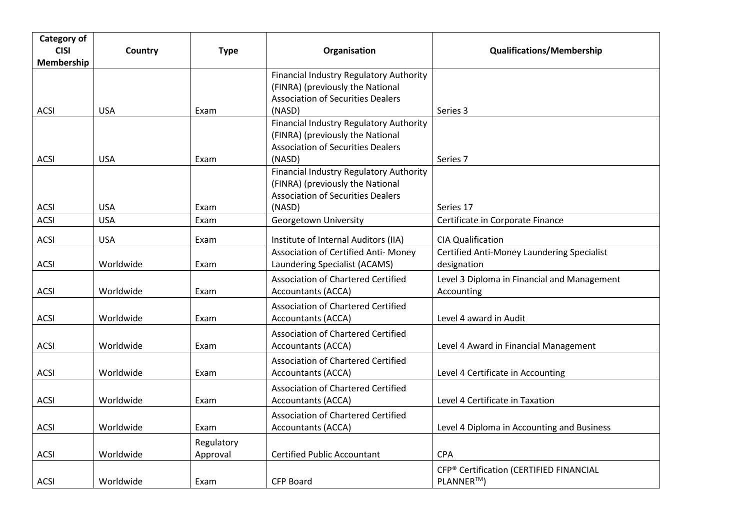| Category of<br><b>CISI</b><br>Membership | Country    | <b>Type</b>            | Organisation                                                                                                                      | <b>Qualifications/Membership</b>                          |
|------------------------------------------|------------|------------------------|-----------------------------------------------------------------------------------------------------------------------------------|-----------------------------------------------------------|
| ACSI                                     | <b>USA</b> | Exam                   | Financial Industry Regulatory Authority<br>(FINRA) (previously the National<br><b>Association of Securities Dealers</b><br>(NASD) | Series 3                                                  |
|                                          |            |                        | Financial Industry Regulatory Authority<br>(FINRA) (previously the National<br><b>Association of Securities Dealers</b>           |                                                           |
| <b>ACSI</b>                              | <b>USA</b> | Exam                   | (NASD)<br>Financial Industry Regulatory Authority<br>(FINRA) (previously the National<br><b>Association of Securities Dealers</b> | Series 7                                                  |
| <b>ACSI</b>                              | <b>USA</b> | Exam                   | (NASD)                                                                                                                            | Series 17                                                 |
| <b>ACSI</b>                              | <b>USA</b> | Exam                   | Georgetown University                                                                                                             | Certificate in Corporate Finance                          |
| <b>ACSI</b>                              | <b>USA</b> | Exam                   | Institute of Internal Auditors (IIA)                                                                                              | <b>CIA Qualification</b>                                  |
| <b>ACSI</b>                              | Worldwide  | Exam                   | Association of Certified Anti- Money<br>Laundering Specialist (ACAMS)                                                             | Certified Anti-Money Laundering Specialist<br>designation |
| <b>ACSI</b>                              | Worldwide  | Exam                   | <b>Association of Chartered Certified</b><br><b>Accountants (ACCA)</b>                                                            | Level 3 Diploma in Financial and Management<br>Accounting |
| <b>ACSI</b>                              | Worldwide  | Exam                   | Association of Chartered Certified<br><b>Accountants (ACCA)</b>                                                                   | Level 4 award in Audit                                    |
| <b>ACSI</b>                              | Worldwide  | Exam                   | Association of Chartered Certified<br><b>Accountants (ACCA)</b>                                                                   | Level 4 Award in Financial Management                     |
| <b>ACSI</b>                              | Worldwide  | Exam                   | <b>Association of Chartered Certified</b><br>Accountants (ACCA)                                                                   | Level 4 Certificate in Accounting                         |
| <b>ACSI</b>                              | Worldwide  | Exam                   | Association of Chartered Certified<br><b>Accountants (ACCA)</b>                                                                   | Level 4 Certificate in Taxation                           |
| <b>ACSI</b>                              | Worldwide  | Exam                   | <b>Association of Chartered Certified</b><br><b>Accountants (ACCA)</b>                                                            | Level 4 Diploma in Accounting and Business                |
| <b>ACSI</b>                              | Worldwide  | Regulatory<br>Approval | <b>Certified Public Accountant</b>                                                                                                | <b>CPA</b>                                                |
| <b>ACSI</b>                              | Worldwide  | Exam                   | <b>CFP Board</b>                                                                                                                  | CFP® Certification (CERTIFIED FINANCIAL<br>PLANNER™)      |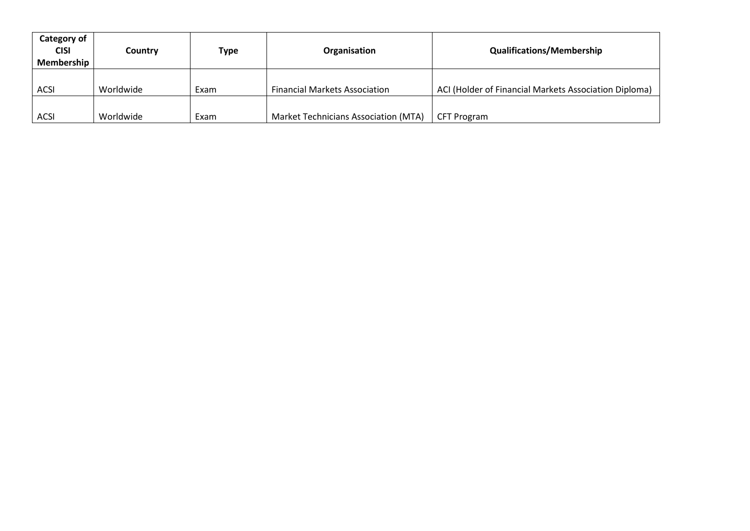| Category of<br><b>CISI</b><br>Membership | Country   | Type | Organisation                         | <b>Qualifications/Membership</b>                      |
|------------------------------------------|-----------|------|--------------------------------------|-------------------------------------------------------|
| <b>ACSI</b>                              | Worldwide | Exam | <b>Financial Markets Association</b> | ACI (Holder of Financial Markets Association Diploma) |
| <b>ACSI</b>                              | Worldwide | Exam | Market Technicians Association (MTA) | CFT Program                                           |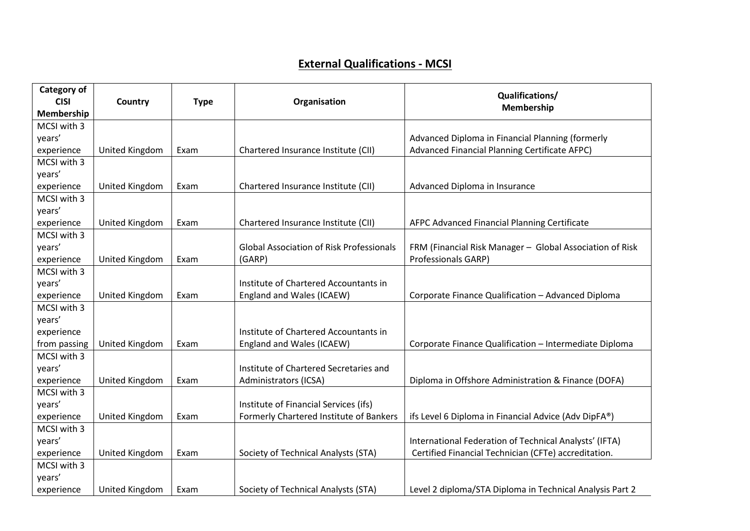## **External Qualifications - MCSI**

| Category of  |                       |             |                                                 | Qualifications/                                          |
|--------------|-----------------------|-------------|-------------------------------------------------|----------------------------------------------------------|
| <b>CISI</b>  | Country               | <b>Type</b> | Organisation                                    | Membership                                               |
| Membership   |                       |             |                                                 |                                                          |
| MCSI with 3  |                       |             |                                                 |                                                          |
| years'       |                       |             |                                                 | Advanced Diploma in Financial Planning (formerly         |
| experience   | United Kingdom        | Exam        | Chartered Insurance Institute (CII)             | Advanced Financial Planning Certificate AFPC)            |
| MCSI with 3  |                       |             |                                                 |                                                          |
| years'       |                       |             |                                                 |                                                          |
| experience   | United Kingdom        | Exam        | Chartered Insurance Institute (CII)             | Advanced Diploma in Insurance                            |
| MCSI with 3  |                       |             |                                                 |                                                          |
| years'       |                       |             |                                                 |                                                          |
| experience   | United Kingdom        | Exam        | Chartered Insurance Institute (CII)             | AFPC Advanced Financial Planning Certificate             |
| MCSI with 3  |                       |             |                                                 |                                                          |
| years'       |                       |             | <b>Global Association of Risk Professionals</b> | FRM (Financial Risk Manager - Global Association of Risk |
| experience   | United Kingdom        | Exam        | (GARP)                                          | Professionals GARP)                                      |
| MCSI with 3  |                       |             |                                                 |                                                          |
| years'       |                       |             | Institute of Chartered Accountants in           |                                                          |
| experience   | United Kingdom        | Exam        | England and Wales (ICAEW)                       | Corporate Finance Qualification - Advanced Diploma       |
| MCSI with 3  |                       |             |                                                 |                                                          |
| years'       |                       |             |                                                 |                                                          |
| experience   |                       |             | Institute of Chartered Accountants in           |                                                          |
| from passing | United Kingdom        | Exam        | England and Wales (ICAEW)                       | Corporate Finance Qualification - Intermediate Diploma   |
| MCSI with 3  |                       |             |                                                 |                                                          |
| years'       |                       |             | Institute of Chartered Secretaries and          |                                                          |
| experience   | United Kingdom        | Exam        | Administrators (ICSA)                           | Diploma in Offshore Administration & Finance (DOFA)      |
| MCSI with 3  |                       |             |                                                 |                                                          |
| years'       |                       |             | Institute of Financial Services (ifs)           |                                                          |
| experience   | <b>United Kingdom</b> | Exam        | Formerly Chartered Institute of Bankers         | ifs Level 6 Diploma in Financial Advice (Adv DipFA®)     |
| MCSI with 3  |                       |             |                                                 |                                                          |
| years'       |                       |             |                                                 | International Federation of Technical Analysts' (IFTA)   |
| experience   | United Kingdom        | Exam        | Society of Technical Analysts (STA)             | Certified Financial Technician (CFTe) accreditation.     |
| MCSI with 3  |                       |             |                                                 |                                                          |
| years'       |                       |             |                                                 |                                                          |
| experience   | United Kingdom        | Exam        | Society of Technical Analysts (STA)             | Level 2 diploma/STA Diploma in Technical Analysis Part 2 |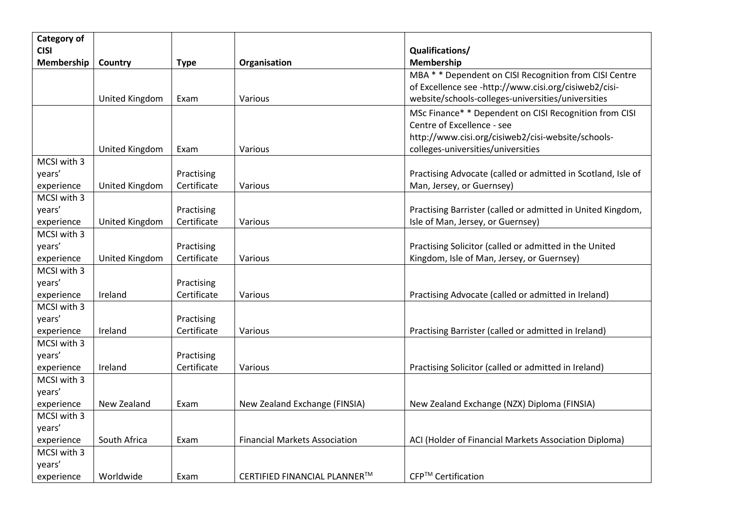| Category of               |                       |                           |                                      |                                                                                                  |
|---------------------------|-----------------------|---------------------------|--------------------------------------|--------------------------------------------------------------------------------------------------|
| <b>CISI</b>               |                       |                           |                                      | Qualifications/                                                                                  |
| Membership                | Country               | <b>Type</b>               | Organisation                         | Membership                                                                                       |
|                           |                       |                           |                                      | MBA * * Dependent on CISI Recognition from CISI Centre                                           |
|                           |                       |                           |                                      | of Excellence see -http://www.cisi.org/cisiweb2/cisi-                                            |
|                           | United Kingdom        | Exam                      | Various                              | website/schools-colleges-universities/universities                                               |
|                           |                       |                           |                                      | MSc Finance* * Dependent on CISI Recognition from CISI                                           |
|                           |                       |                           |                                      | Centre of Excellence - see                                                                       |
|                           |                       |                           |                                      | http://www.cisi.org/cisiweb2/cisi-website/schools-                                               |
|                           | United Kingdom        | Exam                      | Various                              | colleges-universities/universities                                                               |
| MCSI with 3               |                       |                           |                                      |                                                                                                  |
| years'                    |                       | Practising                |                                      | Practising Advocate (called or admitted in Scotland, Isle of                                     |
| experience<br>MCSI with 3 | United Kingdom        | Certificate               | Various                              | Man, Jersey, or Guernsey)                                                                        |
| years'                    |                       |                           |                                      |                                                                                                  |
|                           | United Kingdom        | Practising<br>Certificate |                                      | Practising Barrister (called or admitted in United Kingdom,<br>Isle of Man, Jersey, or Guernsey) |
| experience<br>MCSI with 3 |                       |                           | Various                              |                                                                                                  |
| years'                    |                       | Practising                |                                      | Practising Solicitor (called or admitted in the United                                           |
| experience                | <b>United Kingdom</b> | Certificate               | Various                              | Kingdom, Isle of Man, Jersey, or Guernsey)                                                       |
| MCSI with 3               |                       |                           |                                      |                                                                                                  |
| years'                    |                       | Practising                |                                      |                                                                                                  |
| experience                | Ireland               | Certificate               | Various                              | Practising Advocate (called or admitted in Ireland)                                              |
| MCSI with 3               |                       |                           |                                      |                                                                                                  |
| years'                    |                       | Practising                |                                      |                                                                                                  |
| experience                | Ireland               | Certificate               | Various                              | Practising Barrister (called or admitted in Ireland)                                             |
| MCSI with 3               |                       |                           |                                      |                                                                                                  |
| years'                    |                       | Practising                |                                      |                                                                                                  |
| experience                | Ireland               | Certificate               | Various                              | Practising Solicitor (called or admitted in Ireland)                                             |
| MCSI with 3               |                       |                           |                                      |                                                                                                  |
| years'                    |                       |                           |                                      |                                                                                                  |
| experience                | New Zealand           | Exam                      | New Zealand Exchange (FINSIA)        | New Zealand Exchange (NZX) Diploma (FINSIA)                                                      |
| MCSI with 3               |                       |                           |                                      |                                                                                                  |
| years'                    |                       |                           |                                      |                                                                                                  |
| experience                | South Africa          | Exam                      | <b>Financial Markets Association</b> | ACI (Holder of Financial Markets Association Diploma)                                            |
| MCSI with 3               |                       |                           |                                      |                                                                                                  |
| years'                    |                       |                           |                                      |                                                                                                  |
| experience                | Worldwide             | Exam                      | CERTIFIED FINANCIAL PLANNER™         | CFP™ Certification                                                                               |